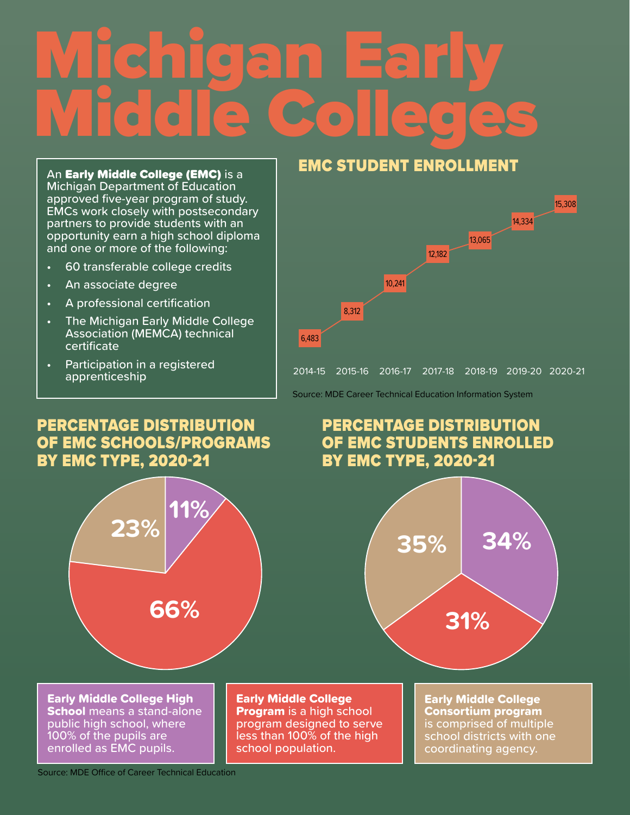# Michigan Early Middle Colleges

An Early Middle College (EMC) is a Michigan Department of Education approved five-year program of study. EMCs work closely with postsecondary partners to provide students with an opportunity earn a high school diploma and one or more of the following:

- 60 transferable college credits
- An associate degree
- A professional certification
- The Michigan Early Middle College Association (MEMCA) technical certificate
- Participation in a registered apprenticeship

#### PERCENTAGE DISTRIBUTION OF EMC SCHOOLS/PROGRAMS BY EMC TYPE, 2020-21



Early Middle College High **School** means a stand-alone public high school, where 100% of the pupils are enrolled as EMC pupils.

Early Middle College **Program** is a high school program designed to serve less than 100% of the high school population.

#### EMC STUDENT ENROLLMENT



Source: MDE Career Technical Education Information System

### PERCENTAGE DISTRIBUTION OF EMC STUDENTS ENROLLED BY EMC TYPE, 2020-21



Early Middle College Consortium program is comprised of multiple school districts with one coordinating agency.

Source: MDE Office of Career Technical Education